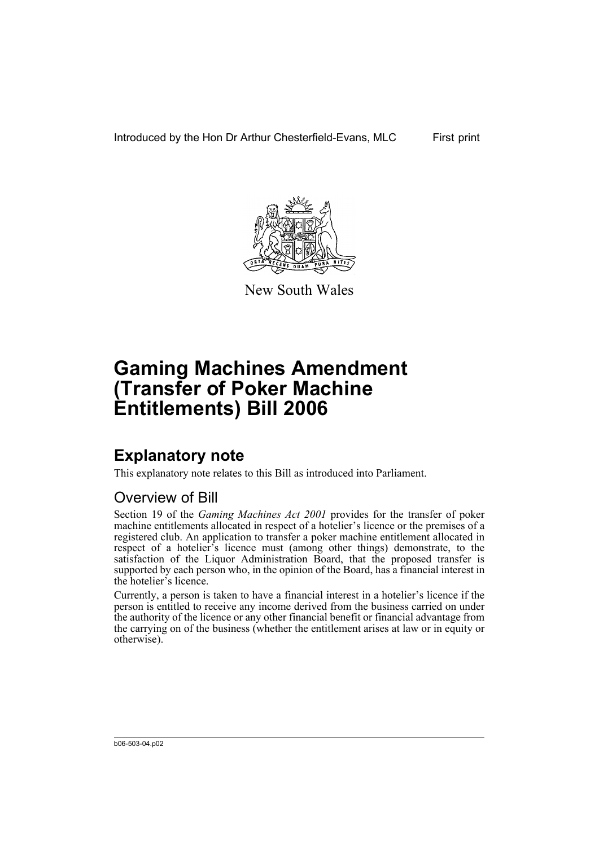

New South Wales

## **Explanatory note**

This explanatory note relates to this Bill as introduced into Parliament.

## Overview of Bill

Section 19 of the *Gaming Machines Act 2001* provides for the transfer of poker machine entitlements allocated in respect of a hotelier's licence or the premises of a registered club. An application to transfer a poker machine entitlement allocated in respect of a hotelier's licence must (among other things) demonstrate, to the satisfaction of the Liquor Administration Board, that the proposed transfer is supported by each person who, in the opinion of the Board, has a financial interest in the hotelier's licence.

Currently, a person is taken to have a financial interest in a hotelier's licence if the person is entitled to receive any income derived from the business carried on under the authority of the licence or any other financial benefit or financial advantage from the carrying on of the business (whether the entitlement arises at law or in equity or otherwise).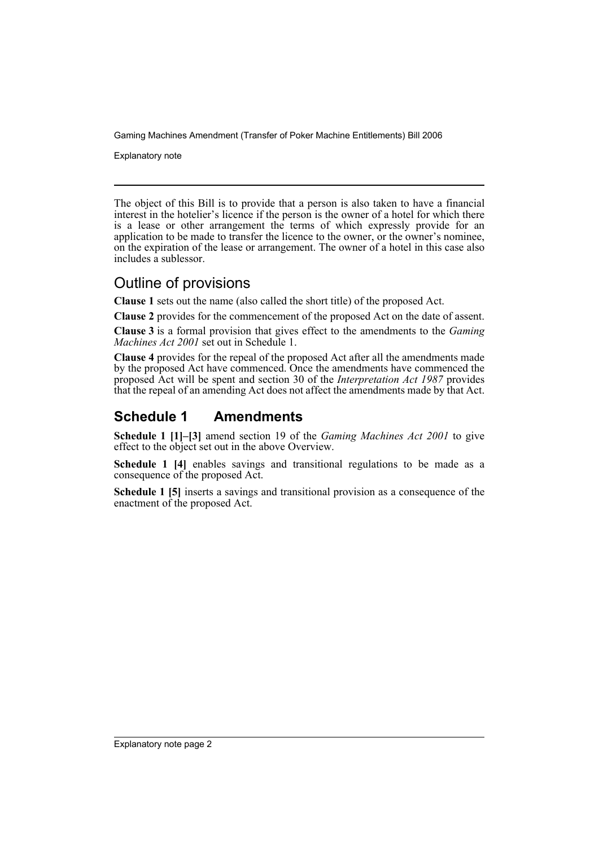Explanatory note

The object of this Bill is to provide that a person is also taken to have a financial interest in the hotelier's licence if the person is the owner of a hotel for which there is a lease or other arrangement the terms of which expressly provide for an application to be made to transfer the licence to the owner, or the owner's nominee, on the expiration of the lease or arrangement. The owner of a hotel in this case also includes a sublessor.

### Outline of provisions

**Clause 1** sets out the name (also called the short title) of the proposed Act.

**Clause 2** provides for the commencement of the proposed Act on the date of assent.

**Clause 3** is a formal provision that gives effect to the amendments to the *Gaming Machines Act 2001* set out in Schedule 1.

**Clause 4** provides for the repeal of the proposed Act after all the amendments made by the proposed Act have commenced. Once the amendments have commenced the proposed Act will be spent and section 30 of the *Interpretation Act 1987* provides that the repeal of an amending Act does not affect the amendments made by that Act.

### **Schedule 1 Amendments**

**Schedule 1 [1]–[3]** amend section 19 of the *Gaming Machines Act 2001* to give effect to the object set out in the above Overview.

**Schedule 1 [4]** enables savings and transitional regulations to be made as a consequence of the proposed Act.

**Schedule 1 [5]** inserts a savings and transitional provision as a consequence of the enactment of the proposed Act.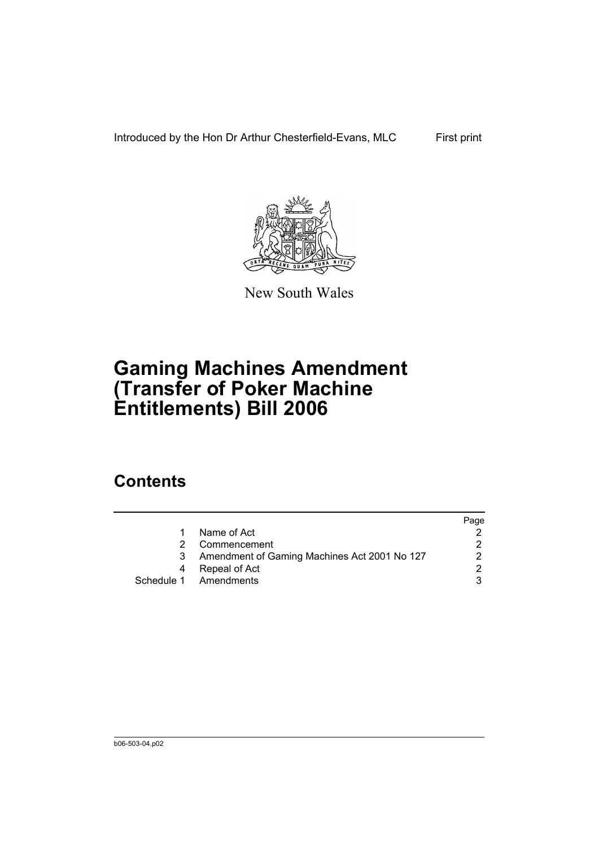Introduced by the Hon Dr Arthur Chesterfield-Evans, MLC First print



New South Wales

# **Gaming Machines Amendment (Transfer of Poker Machine Entitlements) Bill 2006**

# **Contents**

|                                              | Page |
|----------------------------------------------|------|
| Name of Act                                  |      |
| Commencement                                 |      |
| Amendment of Gaming Machines Act 2001 No 127 |      |
| Repeal of Act                                |      |
| Schedule 1 Amendments                        |      |
|                                              |      |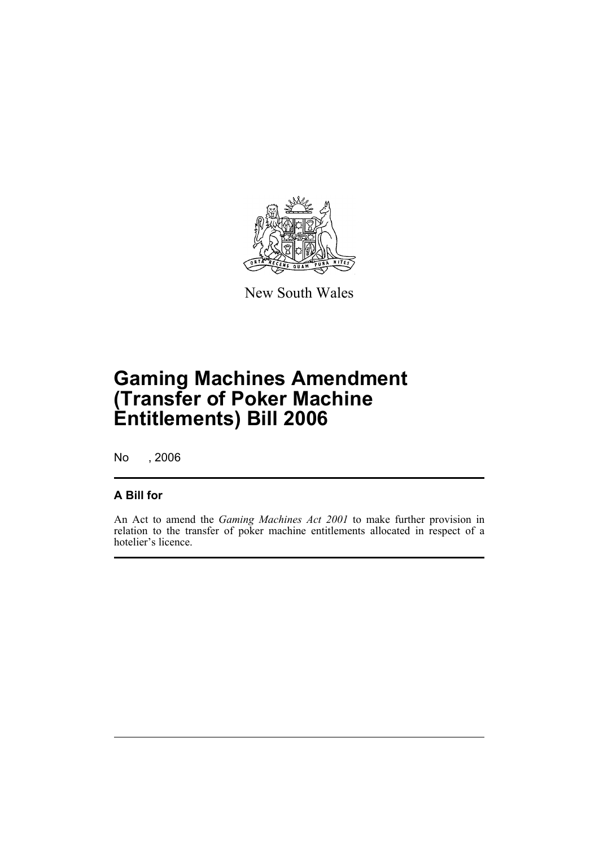

New South Wales

# **Gaming Machines Amendment (Transfer of Poker Machine Entitlements) Bill 2006**

No , 2006

#### **A Bill for**

An Act to amend the *Gaming Machines Act 2001* to make further provision in relation to the transfer of poker machine entitlements allocated in respect of a hotelier's licence.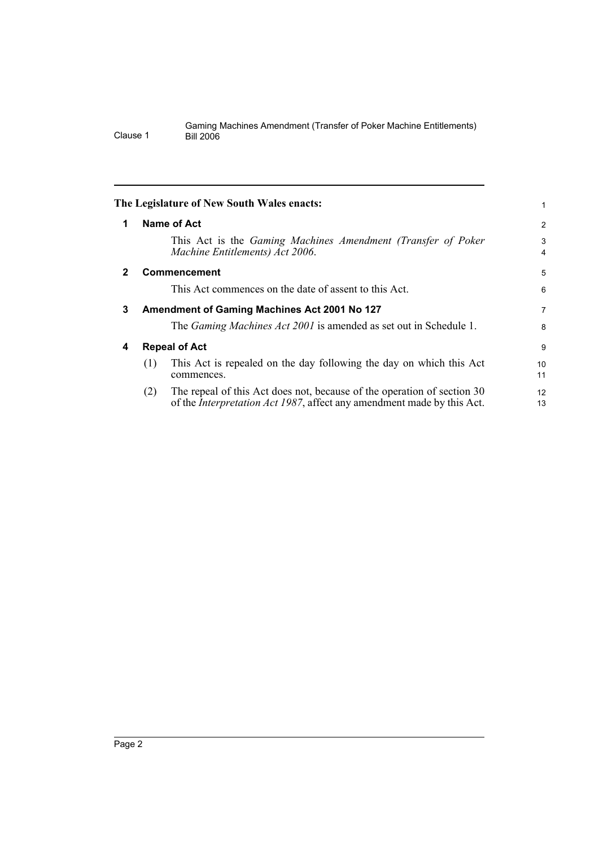<span id="page-5-3"></span><span id="page-5-2"></span><span id="page-5-1"></span><span id="page-5-0"></span>

|              | The Legislature of New South Wales enacts:                                                                                                                       | 1        |  |
|--------------|------------------------------------------------------------------------------------------------------------------------------------------------------------------|----------|--|
| 1            | <b>Name of Act</b>                                                                                                                                               |          |  |
|              | This Act is the Gaming Machines Amendment (Transfer of Poker<br>Machine Entitlements) Act 2006.                                                                  | 3<br>4   |  |
| $\mathbf{2}$ | <b>Commencement</b>                                                                                                                                              | 5        |  |
|              | This Act commences on the date of assent to this Act.                                                                                                            | 6        |  |
| 3            | Amendment of Gaming Machines Act 2001 No 127                                                                                                                     |          |  |
|              | The <i>Gaming Machines Act 2001</i> is amended as set out in Schedule 1.                                                                                         | 8        |  |
| 4            | <b>Repeal of Act</b>                                                                                                                                             | 9        |  |
|              | This Act is repealed on the day following the day on which this Act<br>(1)<br>commences.                                                                         | 10<br>11 |  |
|              | The repeal of this Act does not, because of the operation of section 30<br>(2)<br>of the <i>Interpretation Act 1987</i> , affect any amendment made by this Act. | 12<br>13 |  |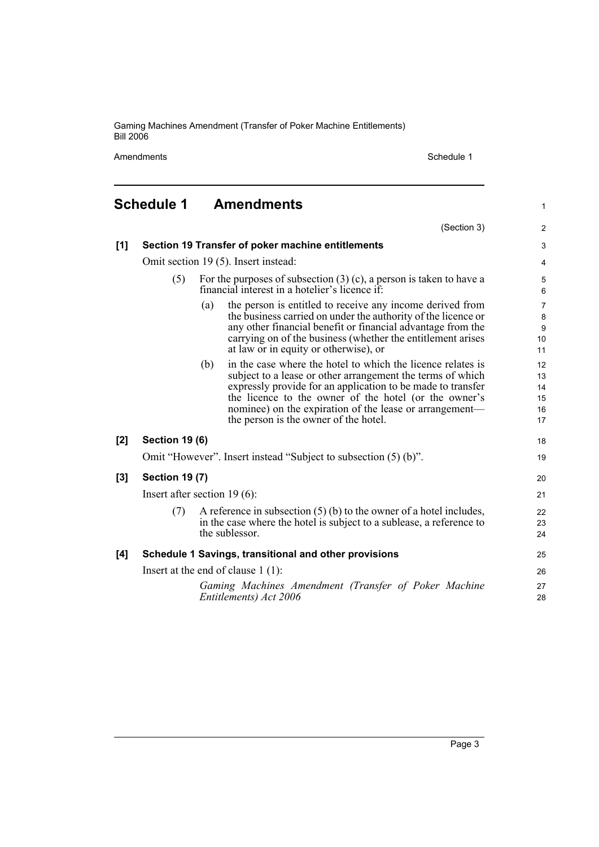Amendments Schedule 1

1

## <span id="page-6-0"></span>**Schedule 1 Amendments**

|       |                                                                                                                                                                        |                                                                                                                         | (Section 3)                                                                                                                                                                                                                                                                                                                                           | 2                                    |
|-------|------------------------------------------------------------------------------------------------------------------------------------------------------------------------|-------------------------------------------------------------------------------------------------------------------------|-------------------------------------------------------------------------------------------------------------------------------------------------------------------------------------------------------------------------------------------------------------------------------------------------------------------------------------------------------|--------------------------------------|
| [1]   | Section 19 Transfer of poker machine entitlements                                                                                                                      |                                                                                                                         |                                                                                                                                                                                                                                                                                                                                                       |                                      |
|       | Omit section 19 (5). Insert instead:                                                                                                                                   |                                                                                                                         |                                                                                                                                                                                                                                                                                                                                                       | $\overline{4}$                       |
|       | (5)                                                                                                                                                                    | For the purposes of subsection $(3)$ (c), a person is taken to have a<br>financial interest in a hotelier's licence if: |                                                                                                                                                                                                                                                                                                                                                       | 5<br>6                               |
|       |                                                                                                                                                                        | (a)                                                                                                                     | the person is entitled to receive any income derived from<br>the business carried on under the authority of the licence or<br>any other financial benefit or financial advantage from the<br>carrying on of the business (whether the entitlement arises<br>at law or in equity or otherwise), or                                                     | $\overline{7}$<br>8<br>9<br>10<br>11 |
|       |                                                                                                                                                                        | (b)                                                                                                                     | in the case where the hotel to which the licence relates is<br>subject to a lease or other arrangement the terms of which<br>expressly provide for an application to be made to transfer<br>the licence to the owner of the hotel (or the owner's<br>nominee) on the expiration of the lease or arrangement—<br>the person is the owner of the hotel. | 12<br>13<br>14<br>15<br>16<br>17     |
| $[2]$ | <b>Section 19 (6)</b>                                                                                                                                                  |                                                                                                                         |                                                                                                                                                                                                                                                                                                                                                       |                                      |
|       | Omit "However". Insert instead "Subject to subsection (5) (b)".                                                                                                        |                                                                                                                         |                                                                                                                                                                                                                                                                                                                                                       | 19                                   |
| $[3]$ | <b>Section 19 (7)</b>                                                                                                                                                  |                                                                                                                         |                                                                                                                                                                                                                                                                                                                                                       |                                      |
|       | Insert after section $19(6)$ :                                                                                                                                         |                                                                                                                         |                                                                                                                                                                                                                                                                                                                                                       | 21                                   |
|       | A reference in subsection $(5)$ (b) to the owner of a hotel includes,<br>(7)<br>in the case where the hotel is subject to a sublease, a reference to<br>the sublessor. |                                                                                                                         |                                                                                                                                                                                                                                                                                                                                                       |                                      |
| [4]   | Schedule 1 Savings, transitional and other provisions                                                                                                                  |                                                                                                                         |                                                                                                                                                                                                                                                                                                                                                       | 25                                   |
|       | Insert at the end of clause $1(1)$ :                                                                                                                                   |                                                                                                                         |                                                                                                                                                                                                                                                                                                                                                       | 26                                   |
|       |                                                                                                                                                                        |                                                                                                                         | Gaming Machines Amendment (Transfer of Poker Machine<br>Entitlements) Act 2006                                                                                                                                                                                                                                                                        | 27<br>28                             |